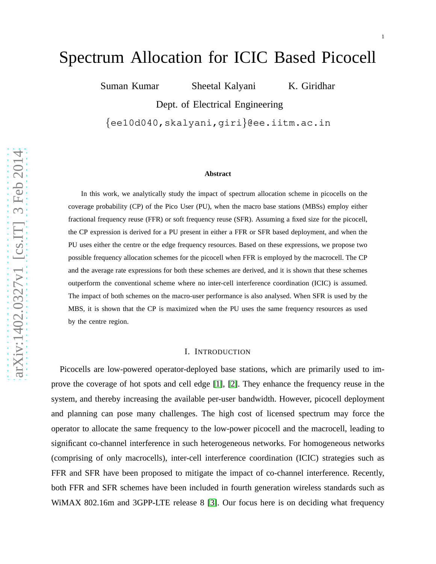# Spectrum Allocation for ICIC Based Picocell

Suman Kumar Sheetal Kalyani K. Giridhar

Dept. of Electrical Engineering

{ee10d040,skalyani,giri }@ee.iitm.ac.in

#### **Abstract**

In this work, we analytically study the impact of spectrum allocation scheme in picocells on the coverage probability (CP) of the Pico User (PU), when the macro base stations (MBSs) employ either fractional frequency reuse (FFR) or soft frequency reuse (SFR). Assuming a fixed size for the picocell, the CP expression is derived for a PU present in either a FFR or SFR based deployment, and when the PU uses either the centre or the edge frequency resources. Based on these expressions, we propose two possible frequency allocation schemes for the picocell when FFR is employed by the macrocell. The CP and the average rate expressions for both these schemes are derived, and it is shown that these schemes outperform the conventional scheme where no inter-cell interference coordination (ICIC) is assumed. The impact of both schemes on the macro-user performance is also analysed. When SFR is used by the MBS, it is shown that the CP is maximized when the PU uses the same frequency resources as used by the centre region.

## I. INTRODUCTION

Picocells are low-powered operator-deployed base stations, which are primarily used to improve the coverage of hot spots and cell edge [\[1\]](#page-19-0), [\[2\]](#page-19-1). They enhance the frequency reuse in the system, and thereby increasing the available per-user bandwidth. However, picocell deployment and planning can pose many challenges. The high cost of licensed spectrum may force the operator to allocate the same frequency to the low-power picocell and the macrocell, leading to significant co-channel interference in such heterogeneous networks. For homogeneous networks (comprising of only macrocells), inter-cell interference coordination (ICIC) strategies such as FFR and SFR have been proposed to mitigate the impact of co-channel interference. Recently, both FFR and SFR schemes have been included in fourth generation wireless standards such as WiMAX 802.16m and 3GPP-LTE release 8 [\[3\]](#page-19-2). Our focus here is on deciding what frequency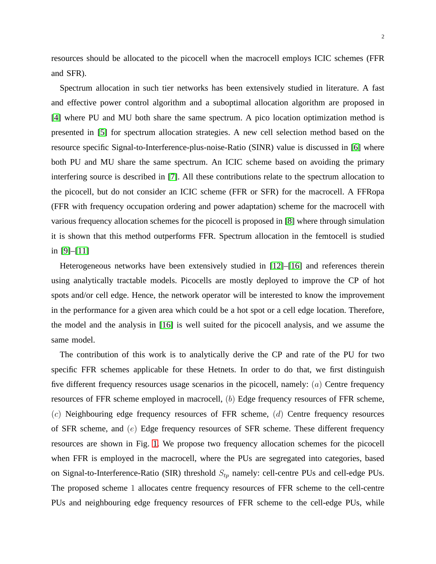resources should be allocated to the picocell when the macrocell employs ICIC schemes (FFR and SFR).

Spectrum allocation in such tier networks has been extensively studied in literature. A fast and effective power control algorithm and a suboptimal allocation algorithm are proposed in [\[4\]](#page-20-0) where PU and MU both share the same spectrum. A pico location optimization method is presented in [\[5\]](#page-20-1) for spectrum allocation strategies. A new cell selection method based on the resource specific Signal-to-Interference-plus-noise-Ratio (SINR) value is discussed in [\[6\]](#page-20-2) where both PU and MU share the same spectrum. An ICIC scheme based on avoiding the primary interfering source is described in [\[7\]](#page-20-3). All these contributions relate to the spectrum allocation to the picocell, but do not consider an ICIC scheme (FFR or SFR) for the macrocell. A FFRopa (FFR with frequency occupation ordering and power adaptation) scheme for the macrocell with various frequency allocation schemes for the picocell is proposed in [\[8\]](#page-20-4) where through simulation it is shown that this method outperforms FFR. Spectrum allocation in the femtocell is studied in [\[9\]](#page-20-5)–[\[11\]](#page-20-6)

Heterogeneous networks have been extensively studied in [\[12\]](#page-20-7)–[\[16\]](#page-20-8) and references therein using analytically tractable models. Picocells are mostly deployed to improve the CP of hot spots and/or cell edge. Hence, the network operator will be interested to know the improvement in the performance for a given area which could be a hot spot or a cell edge location. Therefore, the model and the analysis in [\[16\]](#page-20-8) is well suited for the picocell analysis, and we assume the same model.

The contribution of this work is to analytically derive the CP and rate of the PU for two specific FFR schemes applicable for these Hetnets. In order to do that, we first distinguish five different frequency resources usage scenarios in the picocell, namely: (a) Centre frequency resources of FFR scheme employed in macrocell, (b) Edge frequency resources of FFR scheme,  $(c)$  Neighbouring edge frequency resources of FFR scheme,  $(d)$  Centre frequency resources of SFR scheme, and (e) Edge frequency resources of SFR scheme. These different frequency resources are shown in Fig. [1.](#page-2-0) We propose two frequency allocation schemes for the picocell when FFR is employed in the macrocell, where the PUs are segregated into categories, based on Signal-to-Interference-Ratio (SIR) threshold  $S_{tp}$  namely: cell-centre PUs and cell-edge PUs. The proposed scheme 1 allocates centre frequency resources of FFR scheme to the cell-centre PUs and neighbouring edge frequency resources of FFR scheme to the cell-edge PUs, while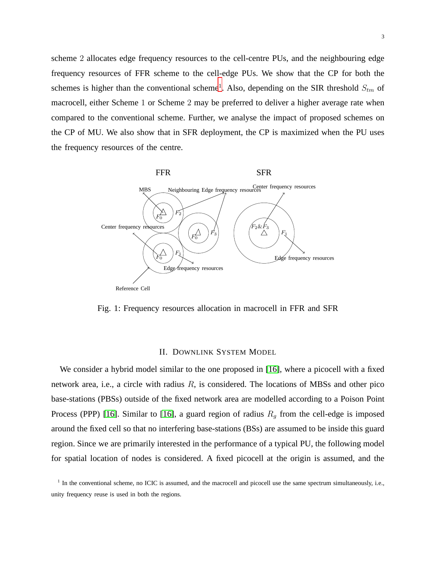scheme 2 allocates edge frequency resources to the cell-centre PUs, and the neighbouring edge frequency resources of FFR scheme to the cell-edge PUs. We show that the CP for both the schemes is higher than the conventional scheme<sup>[1](#page-2-1)</sup>. Also, depending on the SIR threshold  $S_{tm}$  of macrocell, either Scheme 1 or Scheme 2 may be preferred to deliver a higher average rate when compared to the conventional scheme. Further, we analyse the impact of proposed schemes on the CP of MU. We also show that in SFR deployment, the CP is maximized when the PU uses the frequency resources of the centre.

<span id="page-2-0"></span>

Fig. 1: Frequency resources allocation in macrocell in FFR and SFR

## II. DOWNLINK SYSTEM MODEL

We consider a hybrid model similar to the one proposed in [\[16\]](#page-20-8), where a picocell with a fixed network area, i.e., a circle with radius  $R$ , is considered. The locations of MBSs and other pico base-stations (PBSs) outside of the fixed network area are modelled according to a Poison Point Process (PPP) [\[16\]](#page-20-8). Similar to [16], a guard region of radius  $R<sub>g</sub>$  from the cell-edge is imposed around the fixed cell so that no interfering base-stations (BSs) are assumed to be inside this guard region. Since we are primarily interested in the performance of a typical PU, the following model for spatial location of nodes is considered. A fixed picocell at the origin is assumed, and the

<span id="page-2-1"></span><sup>&</sup>lt;sup>1</sup> In the conventional scheme, no ICIC is assumed, and the macrocell and picocell use the same spectrum simultaneously, i.e., unity frequency reuse is used in both the regions.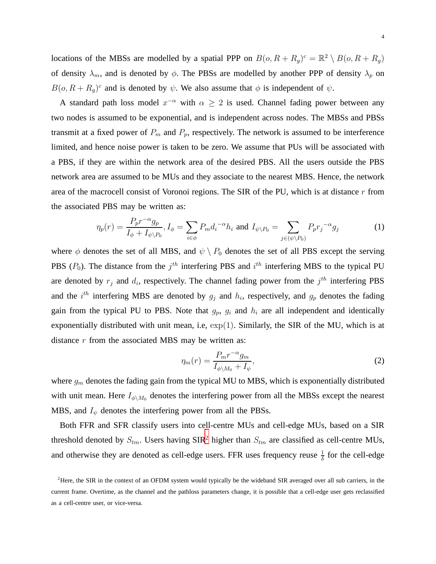locations of the MBSs are modelled by a spatial PPP on  $B(o, R + R_g)^c = \mathbb{R}^2 \setminus B(o, R + R_g)$ of density  $\lambda_m$ , and is denoted by  $\phi$ . The PBSs are modelled by another PPP of density  $\lambda_p$  on  $B(o, R + R_g)^c$  and is denoted by  $\psi$ . We also assume that  $\phi$  is independent of  $\psi$ .

A standard path loss model  $x^{-\alpha}$  with  $\alpha \geq 2$  is used. Channel fading power between any two nodes is assumed to be exponential, and is independent across nodes. The MBSs and PBSs transmit at a fixed power of  $P_m$  and  $P_p$ , respectively. The network is assumed to be interference limited, and hence noise power is taken to be zero. We assume that PUs will be associated with a PBS, if they are within the network area of the desired PBS. All the users outside the PBS network area are assumed to be MUs and they associate to the nearest MBS. Hence, the network area of the macrocell consist of Voronoi regions. The SIR of the PU, which is at distance  $r$  from the associated PBS may be written as:

$$
\eta_p(r) = \frac{P_p r^{-\alpha} g_p}{I_\phi + I_{\psi \setminus P_0}}, I_\phi = \sum_{i \in \phi} P_m d_i^{-\alpha} h_i \text{ and } I_{\psi \setminus P_0} = \sum_{j \in (\psi \setminus P_0)} P_p r_j^{-\alpha} g_j \tag{1}
$$

where  $\phi$  denotes the set of all MBS, and  $\psi \setminus P_0$  denotes the set of all PBS except the serving PBS  $(P_0)$ . The distance from the  $j<sup>th</sup>$  interfering PBS and  $i<sup>th</sup>$  interfering MBS to the typical PU are denoted by  $r_j$  and  $d_i$ , respectively. The channel fading power from the  $j^{th}$  interfering PBS and the  $i^{th}$  interfering MBS are denoted by  $g_j$  and  $h_i$ , respectively, and  $g_p$  denotes the fading gain from the typical PU to PBS. Note that  $g_p$ ,  $g_i$  and  $h_i$  are all independent and identically exponentially distributed with unit mean, i.e,  $\exp(1)$ . Similarly, the SIR of the MU, which is at distance  $r$  from the associated MBS may be written as:

$$
\eta_m(r) = \frac{P_m r^{-\alpha} g_m}{I_{\phi \backslash M_0} + I_{\psi}},\tag{2}
$$

where  $g_m$  denotes the fading gain from the typical MU to MBS, which is exponentially distributed with unit mean. Here  $I_{\phi\backslash M_0}$  denotes the interfering power from all the MBSs except the nearest MBS, and  $I_{\psi}$  denotes the interfering power from all the PBSs.

Both FFR and SFR classify users into cell-centre MUs and cell-edge MUs, based on a SIR threshold denoted by  $S_{tm}$ . Users having SIR<sup>[2](#page-3-0)</sup> higher than  $S_{tm}$  are classified as cell-centre MUs, and otherwise they are denoted as cell-edge users. FFR uses frequency reuse  $\frac{1}{\delta}$  for the cell-edge

<span id="page-3-0"></span> $<sup>2</sup>$  Here, the SIR in the context of an OFDM system would typically be the wideband SIR averaged over all sub carriers, in the</sup> current frame. Overtime, as the channel and the pathloss parameters change, it is possible that a cell-edge user gets reclassified as a cell-centre user, or vice-versa.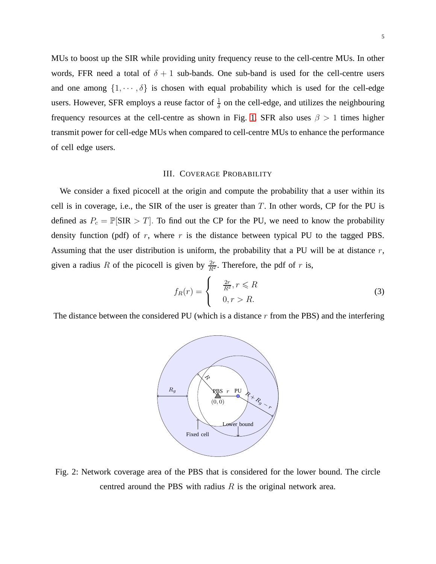MUs to boost up the SIR while providing unity frequency reuse to the cell-centre MUs. In other words, FFR need a total of  $\delta + 1$  sub-bands. One sub-band is used for the cell-centre users and one among  $\{1, \dots, \delta\}$  is chosen with equal probability which is used for the cell-edge users. However, SFR employs a reuse factor of  $\frac{1}{\delta}$  on the cell-edge, and utilizes the neighbouring frequency resources at the cell-centre as shown in Fig. [1.](#page-2-0) SFR also uses  $\beta > 1$  times higher transmit power for cell-edge MUs when compared to cell-centre MUs to enhance the performance of cell edge users.

### III. COVERAGE PROBABILITY

We consider a fixed picocell at the origin and compute the probability that a user within its cell is in coverage, i.e., the SIR of the user is greater than  $T$ . In other words, CP for the PU is defined as  $P_c = \mathbb{P}[\text{SIR} > T]$ . To find out the CP for the PU, we need to know the probability density function (pdf) of  $r$ , where  $r$  is the distance between typical PU to the tagged PBS. Assuming that the user distribution is uniform, the probability that a PU will be at distance  $r$ , given a radius R of the picocell is given by  $\frac{2r}{R^2}$ . Therefore, the pdf of r is,

$$
f_R(r) = \begin{cases} & \frac{2r}{R^2}, r \le R \\ & 0, r > R. \end{cases}
$$
 (3)

<span id="page-4-0"></span>The distance between the considered PU (which is a distance  $r$  from the PBS) and the interfering



Fig. 2: Network coverage area of the PBS that is considered for the lower bound. The circle centred around the PBS with radius  $R$  is the original network area.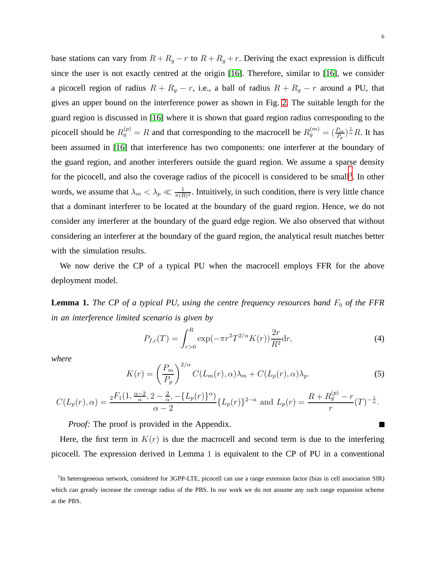base stations can vary from  $R + R_g - r$  to  $R + R_g + r$ . Deriving the exact expression is difficult since the user is not exactly centred at the origin [\[16\]](#page-20-8). Therefore, similar to [\[16\]](#page-20-8), we consider a picocell region of radius  $R + R_g - r$ , i.e., a ball of radius  $R + R_g - r$  around a PU, that gives an upper bound on the interference power as shown in Fig. [2.](#page-4-0) The suitable length for the guard region is discussed in [\[16\]](#page-20-8) where it is shown that guard region radius corresponding to the picocell should be  $R_g^{(p)} = R$  and that corresponding to the macrocell be  $R_g^{(m)} = (\frac{P_m}{P_p})^{\frac{1}{\alpha}} R$ . It has been assumed in [\[16\]](#page-20-8) that interference has two components: one interferer at the boundary of the guard region, and another interferers outside the guard region. We assume a sparse density for the picocell, and also the coverage radius of the picocell is considered to be small<sup>[3](#page-5-0)</sup>. In other words, we assume that  $\lambda_m < \lambda_p \ll \frac{1}{\pi(R)^2}$ . Intuitively, in such condition, there is very little chance that a dominant interferer to be located at the boundary of the guard region. Hence, we do not consider any interferer at the boundary of the guard edge region. We also observed that without considering an interferer at the boundary of the guard region, the analytical result matches better with the simulation results.

We now derive the CP of a typical PU when the macrocell employs FFR for the above deployment model.

**Lemma 1.** *The CP of a typical PU, using the centre frequency resources band*  $F_0$  *of the FFR in an interference limited scenario is given by*

$$
P_{f,c}(T) = \int_{r>0}^{R} \exp(-\pi r^2 T^{2/\alpha} K(r)) \frac{2r}{R^2} dr,
$$
 (4)

*where*

<span id="page-5-1"></span>
$$
K(r) = \left(\frac{P_m}{P_p}\right)^{2/\alpha} C(L_m(r), \alpha)\lambda_m + C(L_p(r), \alpha)\lambda_p.
$$
 (5)

$$
C(L_p(r), \alpha) = \frac{{}_2 F_1(1, \frac{\alpha-2}{\alpha}, 2 - \frac{2}{\alpha}, -\{L_p(r)\}^{\alpha})}{\alpha-2} \{L_p(r)\}^{2-\alpha} \text{ and } L_p(r) = \frac{R + R_g^{(p)} - r}{r}(T)^{-\frac{1}{\alpha}}.
$$

*Proof:* The proof is provided in the Appendix.

Here, the first term in  $K(r)$  is due the macrocell and second term is due to the interfering picocell. The expression derived in Lemma 1 is equivalent to the CP of PU in a conventional

<span id="page-5-0"></span><sup>&</sup>lt;sup>3</sup>In heterogeneous network, considered for 3GPP-LTE, picocell can use a range extension factor (bias in cell association SIR) which can greatly increase the coverage radius of the PBS. In our work we do not assume any such range expansion scheme at the PBS.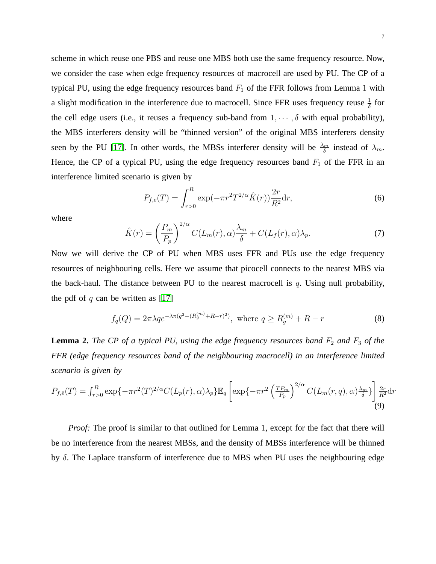scheme in which reuse one PBS and reuse one MBS both use the same frequency resource. Now, we consider the case when edge frequency resources of macrocell are used by PU. The CP of a typical PU, using the edge frequency resources band  $F_1$  of the FFR follows from Lemma 1 with a slight modification in the interference due to macrocell. Since FFR uses frequency reuse  $\frac{1}{\delta}$  for the cell edge users (i.e., it reuses a frequency sub-band from  $1, \dots, \delta$  with equal probability), the MBS interferers density will be "thinned version" of the original MBS interferers density seen by the PU [\[17\]](#page-20-9). In other words, the MBSs interferer density will be  $\frac{\lambda_m}{\delta}$  instead of  $\lambda_m$ . Hence, the CP of a typical PU, using the edge frequency resources band  $F_1$  of the FFR in an interference limited scenario is given by

<span id="page-6-1"></span>
$$
P_{f,e}(T) = \int_{r>0}^{R} \exp(-\pi r^2 T^{2/\alpha} \hat{K}(r)) \frac{2r}{R^2} dr,\tag{6}
$$

where

<span id="page-6-0"></span>
$$
\hat{K}(r) = \left(\frac{P_m}{P_p}\right)^{2/\alpha} C(L_m(r), \alpha) \frac{\lambda_m}{\delta} + C(L_f(r), \alpha) \lambda_p.
$$
\n(7)

Now we will derive the CP of PU when MBS uses FFR and PUs use the edge frequency resources of neighbouring cells. Here we assume that picocell connects to the nearest MBS via the back-haul. The distance between PU to the nearest macrocell is  $q$ . Using null probability, the pdf of  $q$  can be written as [\[17\]](#page-20-9)

$$
f_q(Q) = 2\pi \lambda q e^{-\lambda \pi (q^2 - (R_g^{(m)} + R - r)^2)}, \text{ where } q \ge R_g^{(m)} + R - r
$$
 (8)

**Lemma 2.** *The CP of a typical PU, using the edge frequency resources band*  $F_2$  *and*  $F_3$  *of the FFR (edge frequency resources band of the neighbouring macrocell) in an interference limited scenario is given by*

$$
P_{f,\hat{e}}(T) = \int_{r>0}^{R} \exp\{-\pi r^2(T)^{2/\alpha} C(L_p(r), \alpha)\lambda_p\} \mathbb{E}_q \left[ \exp\{-\pi r^2 \left(\frac{TP_m}{P_p}\right)^{2/\alpha} C(L_m(r, q), \alpha)\frac{\lambda_m}{\delta} \} \right] \frac{2r}{R^2} dr
$$
\n(9)

*Proof:* The proof is similar to that outlined for Lemma 1, except for the fact that there will be no interference from the nearest MBSs, and the density of MBSs interference will be thinned by δ. The Laplace transform of interference due to MBS when PU uses the neighbouring edge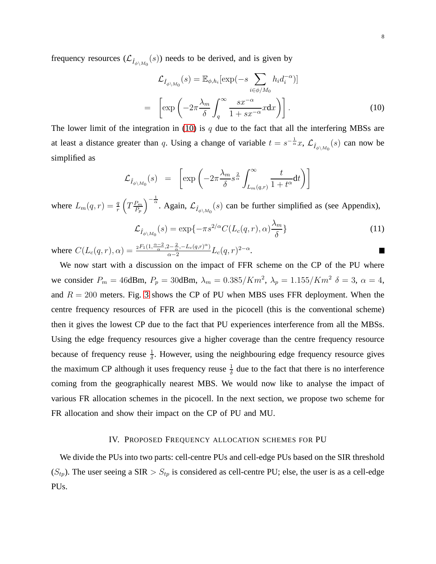frequency resources  $(\mathcal{L}_{\hat{I}_{\phi\backslash M_0}}(s))$  needs to be derived, and is given by

<span id="page-7-0"></span>
$$
\mathcal{L}_{\hat{I}_{\phi \setminus M_0}}(s) = \mathbb{E}_{\phi, h_i}[\exp(-s \sum_{i \in \phi/M_0} h_i d_i^{-\alpha})]
$$

$$
= \left[ \exp\left( -2\pi \frac{\lambda_m}{\delta} \int_q^{\infty} \frac{s x^{-\alpha}}{1 + s x^{-\alpha}} x dx \right) \right].
$$
(10)

The lower limit of the integration in [\(10\)](#page-7-0) is q due to the fact that all the interfering MBSs are at least a distance greater than q. Using a change of variable  $t = s^{-\frac{1}{\alpha}}x$ ,  $\mathcal{L}_{\hat{I}_{\phi\setminus M_0}}(s)$  can now be simplified as

$$
\mathcal{L}_{\hat{I}_{\phi\setminus M_0}}(s) = \left[ \exp\left( -2\pi \frac{\lambda_m}{\delta} s^{\frac{2}{\alpha}} \int_{L_m(q,r)}^{\infty} \frac{t}{1+t^{\alpha}} \mathrm{d}t \right) \right]
$$

where  $L_m(q,r) = \frac{q}{r} \left( T \frac{P_m}{P_p} \right)$  $P_p$  $\int_{-\infty}^{-\frac{1}{\alpha}}$ . Again,  $\mathcal{L}_{\hat{I}_{\phi\setminus M_0}}(s)$  can be further simplified as (see Appendix),

<span id="page-7-1"></span>
$$
\mathcal{L}_{\hat{I}_{\phi\backslash M_0}}(s) = \exp\{-\pi s^{2/\alpha} C(L_c(q, r), \alpha) \frac{\lambda_m}{\delta}\}\tag{11}
$$

where  $C(L_c(q, r), \alpha) = \frac{{}_2F_1(1, \frac{\alpha-2}{\alpha}, 2-\frac{2}{\alpha}, -L_c(q, r)^{\alpha})}{\alpha-2}$  $\frac{2-\frac{1}{\alpha},-L_c(q,r)^{\alpha})}{\alpha-2}L_c(q,r)^{2-\alpha}.$ 

We now start with a discussion on the impact of FFR scheme on the CP of the PU where we consider  $P_m = 46$ dBm,  $P_p = 30$ dBm,  $\lambda_m = 0.385/Km^2$ ,  $\lambda_p = 1.155/Km^2$   $\delta = 3$ ,  $\alpha = 4$ , and  $R = 200$  meters. Fig. [3](#page-8-0) shows the CP of PU when MBS uses FFR deployment. When the centre frequency resources of FFR are used in the picocell (this is the conventional scheme) then it gives the lowest CP due to the fact that PU experiences interference from all the MBSs. Using the edge frequency resources give a higher coverage than the centre frequency resource because of frequency reuse  $\frac{1}{\delta}$ . However, using the neighbouring edge frequency resource gives the maximum CP although it uses frequency reuse  $\frac{1}{\delta}$  due to the fact that there is no interference coming from the geographically nearest MBS. We would now like to analyse the impact of various FR allocation schemes in the picocell. In the next section, we propose two scheme for FR allocation and show their impact on the CP of PU and MU.

#### IV. PROPOSED FREQUENCY ALLOCATION SCHEMES FOR PU

We divide the PUs into two parts: cell-centre PUs and cell-edge PUs based on the SIR threshold  $(S_{tp})$ . The user seeing a SIR  $> S_{tp}$  is considered as cell-centre PU; else, the user is as a cell-edge PUs.

ш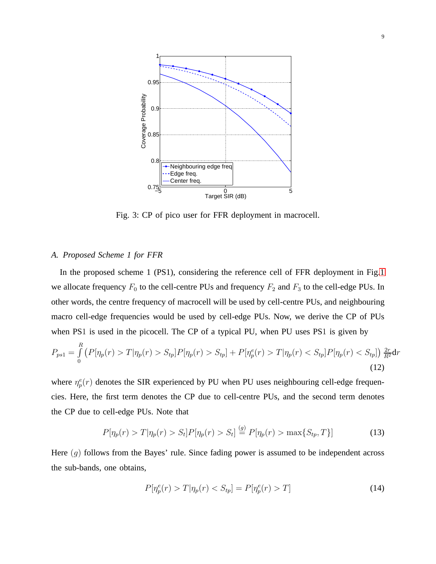<span id="page-8-0"></span>

Fig. 3: CP of pico user for FFR deployment in macrocell.

# *A. Proposed Scheme 1 for FFR*

R

In the proposed scheme 1 (PS1), considering the reference cell of FFR deployment in Fig[.1](#page-2-0) we allocate frequency  $F_0$  to the cell-centre PUs and frequency  $F_2$  and  $F_3$  to the cell-edge PUs. In other words, the centre frequency of macrocell will be used by cell-centre PUs, and neighbouring macro cell-edge frequencies would be used by cell-edge PUs. Now, we derive the CP of PUs when PS1 is used in the picocell. The CP of a typical PU, when PU uses PS1 is given by

$$
P_{ps1} = \int_{0}^{R} \left( P[\eta_p(r) > T | \eta_p(r) > S_{tp}] P[\eta_p(r) > S_{tp}] + P[\eta_p^e(r) > T | \eta_p(r) < S_{tp}] P[\eta_p(r) < S_{tp}] \right) \frac{2r}{R^2} \, \mathrm{d}r \tag{12}
$$

where  $\eta_p^e(r)$  denotes the SIR experienced by PU when PU uses neighbouring cell-edge frequencies. Here, the first term denotes the CP due to cell-centre PUs, and the second term denotes the CP due to cell-edge PUs. Note that

<span id="page-8-1"></span>
$$
P[\eta_p(r) > T | \eta_p(r) > S_t] P[\eta_p(r) > S_t] \stackrel{(g)}{=} P[\eta_p(r) > \max\{S_{tp}, T\}]
$$
\n(13)

Here  $(g)$  follows from the Bayes' rule. Since fading power is assumed to be independent across the sub-bands, one obtains,

<span id="page-8-2"></span>
$$
P[\eta_p^e(r) > T | \eta_p(r) < S_{tp}] = P[\eta_p^e(r) > T]
$$
\n(14)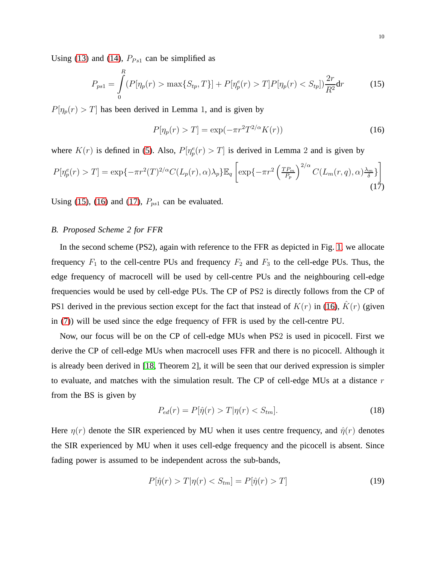Using [\(13\)](#page-8-1) and [\(14\)](#page-8-2),  $P_{Ps1}$  can be simplified as

<span id="page-9-0"></span>
$$
P_{ps1} = \int_{0}^{R} (P[\eta_p(r) > \max\{S_{tp}, T\}] + P[\eta_p^e(r) > T]P[\eta_p(r) < S_{tp}])\frac{2r}{R^2}dr
$$
 (15)

 $P[\eta_p(r) > T]$  has been derived in Lemma 1, and is given by

<span id="page-9-1"></span>
$$
P[\eta_p(r) > T] = \exp(-\pi r^2 T^{2/\alpha} K(r))
$$
\n(16)

where  $K(r)$  is defined in [\(5\)](#page-5-1). Also,  $P[\eta_p^e(r) > T]$  is derived in Lemma 2 and is given by

<span id="page-9-2"></span>
$$
P[\eta_p^e(r) > T] = \exp\{-\pi r^2(T)^{2/\alpha} C(L_p(r), \alpha) \lambda_p\} \mathbb{E}_q \left[ \exp\{-\pi r^2 \left(\frac{T P_m}{P_p}\right)^{2/\alpha} C(L_m(r, q), \alpha) \frac{\lambda_m}{\delta} \} \right] \tag{17}
$$

Using [\(15\)](#page-9-0), [\(16\)](#page-9-1) and [\(17\)](#page-9-2),  $P_{ps1}$  can be evaluated.

### *B. Proposed Scheme 2 for FFR*

In the second scheme (PS2), again with reference to the FFR as depicted in Fig. [1,](#page-2-0) we allocate frequency  $F_1$  to the cell-centre PUs and frequency  $F_2$  and  $F_3$  to the cell-edge PUs. Thus, the edge frequency of macrocell will be used by cell-centre PUs and the neighbouring cell-edge frequencies would be used by cell-edge PUs. The CP of PS2 is directly follows from the CP of PS1 derived in the previous section except for the fact that instead of  $K(r)$  in [\(16\)](#page-9-1),  $\hat{K}(r)$  (given in [\(7\)](#page-6-0)) will be used since the edge frequency of FFR is used by the cell-centre PU.

Now, our focus will be on the CP of cell-edge MUs when PS2 is used in picocell. First we derive the CP of cell-edge MUs when macrocell uses FFR and there is no picocell. Although it is already been derived in [\[18,](#page-20-10) Theorem 2], it will be seen that our derived expression is simpler to evaluate, and matches with the simulation result. The CP of cell-edge MUs at a distance  $r$ from the BS is given by

$$
P_{ed}(r) = P[\hat{\eta}(r) > T | \eta(r) < S_{tm}].\tag{18}
$$

Here  $\eta(r)$  denote the SIR experienced by MU when it uses centre frequency, and  $\hat{\eta}(r)$  denotes the SIR experienced by MU when it uses cell-edge frequency and the picocell is absent. Since fading power is assumed to be independent across the sub-bands,

<span id="page-9-3"></span>
$$
P[\hat{\eta}(r) > T | \eta(r) < S_{tm}] = P[\hat{\eta}(r) > T] \tag{19}
$$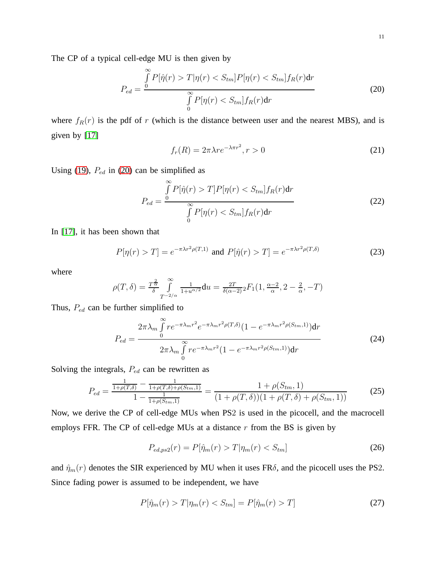The CP of a typical cell-edge MU is then given by

<span id="page-10-0"></span>
$$
P_{ed} = \frac{\int\limits_{0}^{\infty} P[\hat{\eta}(r) > T | \eta(r) < S_{tm}] P[\eta(r) < S_{tm}] f_R(r) \text{d}r}{\int\limits_{0}^{\infty} P[\eta(r) < S_{tm}] f_R(r) \text{d}r} \tag{20}
$$

where  $f_R(r)$  is the pdf of r (which is the distance between user and the nearest MBS), and is given by [\[17\]](#page-20-9)

$$
f_r(R) = 2\pi\lambda r e^{-\lambda\pi r^2}, r > 0
$$
\n(21)

Using [\(19\)](#page-9-3),  $P_{ed}$  in [\(20\)](#page-10-0) can be simplified as

$$
P_{ed} = \frac{\int\limits_{0}^{\infty} P[\hat{\eta}(r) > T] P[\eta(r) < S_{tm}] f_R(r) \mathrm{d}r}{\int\limits_{0}^{\infty} P[\eta(r) < S_{tm}] f_R(r) \mathrm{d}r}
$$
(22)

In [\[17\]](#page-20-9), it has been shown that

<span id="page-10-1"></span>
$$
P[\eta(r) > T] = e^{-\pi \lambda r^2 \rho(T,1)} \text{ and } P[\hat{\eta}(r) > T] = e^{-\pi \lambda r^2 \rho(T,\delta)}
$$
(23)

where

$$
\rho(T,\delta) = \frac{T^{\frac{2}{\alpha}}}{\delta} \int_{T^{-2/\alpha}}^{\infty} \frac{1}{1 + u^{\alpha/2}} du = \frac{2T}{\delta(\alpha - 2)} {}_2F_1(1, \frac{\alpha - 2}{\alpha}, 2 - \frac{2}{\alpha}, -T)
$$

Thus,  $P_{ed}$  can be further simplified to

$$
P_{ed} = \frac{2\pi\lambda_m \int\limits_0^{\infty} r e^{-\pi\lambda_m r^2} e^{-\pi\lambda_m r^2 \rho(T,\delta)} (1 - e^{-\pi\lambda_m r^2 \rho(S_{tm},1)}) dr}{2\pi\lambda_m \int\limits_0^{\infty} r e^{-\pi\lambda_m r^2} (1 - e^{-\pi\lambda_m r^2 \rho(S_{tm},1)}) dr}
$$
(24)

Solving the integrals,  $P_{ed}$  can be rewritten as

$$
P_{ed} = \frac{\frac{1}{1+\rho(T,\delta)} - \frac{1}{1+\rho(T,\delta)+\rho(S_{tm},1)}}{1 - \frac{1}{1+\rho(S_{tm},1)}} = \frac{1+\rho(S_{tm},1)}{(1+\rho(T,\delta))(1+\rho(T,\delta)+\rho(S_{tm},1))}
$$
(25)

Now, we derive the CP of cell-edge MUs when PS2 is used in the picocell, and the macrocell employs FFR. The CP of cell-edge MUs at a distance  $r$  from the BS is given by

$$
P_{ed,ps2}(r) = P[\hat{\eta}_m(r) > T | \eta_m(r) < S_{tm}]
$$
\n(26)

and  $\hat{\eta}_m(r)$  denotes the SIR experienced by MU when it uses FR $\delta$ , and the picocell uses the PS2. Since fading power is assumed to be independent, we have

$$
P[\hat{\eta}_m(r) > T | \eta_m(r) < S_{tm}] = P[\hat{\eta}_m(r) > T] \tag{27}
$$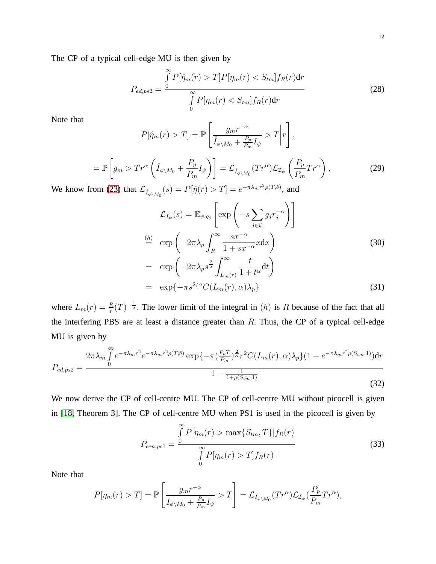The CP of a typical cell-edge MU is then given by

$$
P_{ed,ps2} = \frac{\int\limits_{0}^{\infty} P[\hat{\eta}_m(r) > T] P[\eta_m(r) < S_{tm}] f_R(r) \text{d}r}{\int\limits_{0}^{\infty} P[\eta_m(r) < S_{tm}] f_R(r) \text{d}r} \tag{28}
$$

Note that

$$
P[\hat{\eta}_m(r) > T] = \mathbb{P}\left[\frac{g_m r^{-\alpha}}{\hat{I}_{\phi \setminus M_0} + \frac{P_p}{P_m} I_{\psi}} > T \middle| r \right],
$$

$$
= \mathbb{P}\left[g_m > Tr^{\alpha}\left(\hat{I}_{\phi\backslash M_0} + \frac{P_p}{P_m}I_{\psi}\right)\right] = \mathcal{L}_{\hat{I}_{\phi\backslash M_0}}(Tr^{\alpha})\mathcal{L}_{\mathcal{I}_{\psi}}\left(\frac{P_p}{P_m}Tr^{\alpha}\right),\tag{29}
$$

We know from [\(23\)](#page-10-1) that  $\mathcal{L}_{\hat{I}_{\phi\setminus M_0}}(s) = P[\hat{\eta}(r) > T] = e^{-\pi\lambda_m r^2 \rho(T,\delta)}$ , and

<span id="page-11-0"></span>
$$
\mathcal{L}_{I_{\psi}}(s) = \mathbb{E}_{\psi, g_j} \left[ \exp \left( -s \sum_{j \in \psi} g_j r_j^{-\alpha} \right) \right]
$$
\n
$$
\stackrel{\text{(h)}}{=} \exp \left( -2\pi \lambda_p \int_R^{\infty} \frac{s x^{-\alpha}}{1 + s x^{-\alpha}} x \, dx \right)
$$
\n
$$
= \exp \left( -2\pi \lambda_p s^{\frac{2}{\alpha}} \int_{L_m(r)}^{\infty} \frac{t}{1 + t^{\alpha}} \, dt \right)
$$
\n
$$
= \exp \left\{ -\pi s^{2/\alpha} C(L_m(r), \alpha) \lambda_p \right\}
$$
\n(31)

where  $L_m(r) = \frac{R}{r}(T)^{-\frac{1}{\alpha}}$ . The lower limit of the integral in (h) is R because of the fact that all the interfering PBS are at least a distance greater than  $R$ . Thus, the CP of a typical cell-edge MU is given by

$$
P_{ed,ps2} = \frac{2\pi\lambda_m \int_0^\infty e^{-\pi\lambda_m r^2} e^{-\pi\lambda_m r^2 \rho(T,\delta)} \exp\{-\pi(\frac{P_p T}{P_m})^{\frac{2}{\alpha}} r^2 C(L_m(r),\alpha)\lambda_p\} (1 - e^{-\pi\lambda_m r^2 \rho(S_{tm},1)}) dr}{1 - \frac{1}{1 + \rho(S_{tm},1)}}
$$
(32)

We now derive the CP of cell-centre MU. The CP of cell-centre MU without picocell is given in [\[18,](#page-20-10) Theorem 3]. The CP of cell-centre MU when PS1 is used in the picocell is given by

$$
P_{cen, ps1} = \frac{\int_{0}^{\infty} P[\eta_m(r) > \max\{S_{tm}, T\}] f_R(r)}{\int_{0}^{\infty} P[\eta_m(r) > T] f_R(r)}
$$
(33)

Note that

$$
P[\eta_m(r) > T] = \mathbb{P}\left[\frac{g_m r^{-\alpha}}{I_{\phi\backslash M_0} + \frac{P_p}{P_m} I_{\psi}} > T\right] = \mathcal{L}_{I_{\phi\backslash M_0}}(Tr^{\alpha}) \mathcal{L}_{\mathcal{I}_{\psi}}(\frac{P_p}{P_m} Tr^{\alpha}),
$$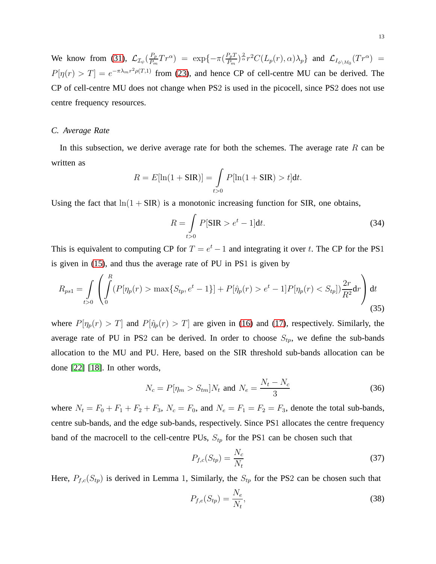We know from [\(31\)](#page-11-0),  $\mathcal{L}_{\mathcal{I}_{\psi}}(\frac{P_p}{P_m})$  $\frac{P_p}{P_m}Tr^{\alpha}$ ) = exp{ $-\pi(\frac{P_pT}{P_m})$  $\frac{P_p T}{P_m})^{\frac{2}{\alpha}} r^2 C(L_p(r), \alpha) \lambda_p \}$  and  $\mathcal{L}_{I_{\phi \setminus M_0}}(Tr^{\alpha}) =$  $P[\eta(r) > T] = e^{-\pi \lambda_m r^2 \rho(T,1)}$  from [\(23\)](#page-10-1), and hence CP of cell-centre MU can be derived. The CP of cell-centre MU does not change when PS2 is used in the picocell, since PS2 does not use centre frequency resources.

## *C. Average Rate*

In this subsection, we derive average rate for both the schemes. The average rate  $R$  can be written as

$$
R = E[\ln(1 + \text{SIR})] = \int_{t>0} P[\ln(1 + \text{SIR}) > t]dt.
$$

Using the fact that  $ln(1 + SIR)$  is a monotonic increasing function for SIR, one obtains,

$$
R = \int_{t>0} P[\text{SIR} > e^t - 1] \text{d}t. \tag{34}
$$

This is equivalent to computing CP for  $T = e^t - 1$  and integrating it over t. The CP for the PS1 is given in [\(15\)](#page-9-0), and thus the average rate of PU in PS1 is given by

$$
R_{ps1} = \int_{t>0} \left( \int_0^R (P[\eta_p(r) > \max\{S_{tp}, e^t - 1\}] + P[\hat{\eta}_p(r) > e^t - 1] P[\eta_p(r) < S_{tp}]) \frac{2r}{R^2} dr \right) dt
$$
\n(35)

where  $P[\eta_p(r) > T]$  and  $P[\hat{\eta}_p(r) > T]$  are given in [\(16\)](#page-9-1) and [\(17\)](#page-9-2), respectively. Similarly, the average rate of PU in PS2 can be derived. In order to choose  $S_{tp}$ , we define the sub-bands allocation to the MU and PU. Here, based on the SIR threshold sub-bands allocation can be done [\[22\]](#page-21-0) [\[18\]](#page-20-10). In other words,

$$
N_c = P[\eta_m > S_{tm}]N_t \text{ and } N_e = \frac{N_t - N_c}{3}
$$
 (36)

where  $N_t = F_0 + F_1 + F_2 + F_3$ ,  $N_c = F_0$ , and  $N_e = F_1 = F_2 = F_3$ , denote the total sub-bands, centre sub-bands, and the edge sub-bands, respectively. Since PS1 allocates the centre frequency band of the macrocell to the cell-centre PUs,  $S_{tp}$  for the PS1 can be chosen such that

$$
P_{f,c}(S_{tp}) = \frac{N_c}{N_t} \tag{37}
$$

Here,  $P_{f,c}(S_{tp})$  is derived in Lemma 1, Similarly, the  $S_{tp}$  for the PS2 can be chosen such that

$$
P_{f,e}(S_{tp}) = \frac{N_e}{N_t},\tag{38}
$$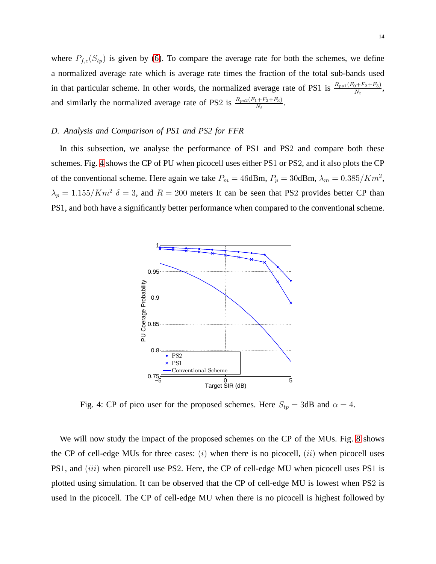where  $P_{f,e}(S_{tp})$  is given by [\(6\)](#page-6-1). To compare the average rate for both the schemes, we define a normalized average rate which is average rate times the fraction of the total sub-bands used in that particular scheme. In other words, the normalized average rate of PS1 is  $\frac{R_{ps1}(F_0 + F_2 + F_3)}{N_t}$ , and similarly the normalized average rate of PS2 is  $\frac{R_{ps2}(F_1 + F_2 + F_3)}{N_t}$ .

# *D. Analysis and Comparison of PS1 and PS2 for FFR*

<span id="page-13-0"></span>In this subsection, we analyse the performance of PS1 and PS2 and compare both these schemes. Fig. [4](#page-13-0) shows the CP of PU when picocell uses either PS1 or PS2, and it also plots the CP of the conventional scheme. Here again we take  $P_m = 46$ dBm,  $P_p = 30$ dBm,  $\lambda_m = 0.385/Km^2$ ,  $\lambda_p = 1.155/Km^2$   $\delta = 3$ , and  $R = 200$  meters It can be seen that PS2 provides better CP than PS1, and both have a significantly better performance when compared to the conventional scheme.



Fig. 4: CP of pico user for the proposed schemes. Here  $S_{tp} = 3$ dB and  $\alpha = 4$ .

We will now study the impact of the proposed schemes on the CP of the MUs. Fig. [8](#page-17-0) shows the CP of cell-edge MUs for three cases:  $(i)$  when there is no picocell,  $(ii)$  when picocell uses PS1, and *(iii)* when picocell use PS2. Here, the CP of cell-edge MU when picocell uses PS1 is plotted using simulation. It can be observed that the CP of cell-edge MU is lowest when PS2 is used in the picocell. The CP of cell-edge MU when there is no picocell is highest followed by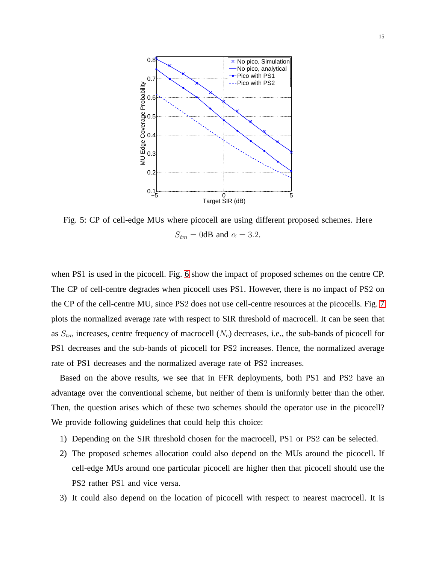

Fig. 5: CP of cell-edge MUs where picocell are using different proposed schemes. Here  $S_{tm} = 0$ dB and  $\alpha = 3.2$ .

when PS1 is used in the picocell. Fig. [6](#page-15-0) show the impact of proposed schemes on the centre CP. The CP of cell-centre degrades when picocell uses PS1. However, there is no impact of PS2 on the CP of the cell-centre MU, since PS2 does not use cell-centre resources at the picocells. Fig. [7](#page-16-0) plots the normalized average rate with respect to SIR threshold of macrocell. It can be seen that as  $S_{tm}$  increases, centre frequency of macrocell  $(N_c)$  decreases, i.e., the sub-bands of picocell for PS1 decreases and the sub-bands of picocell for PS2 increases. Hence, the normalized average rate of PS1 decreases and the normalized average rate of PS2 increases.

Based on the above results, we see that in FFR deployments, both PS1 and PS2 have an advantage over the conventional scheme, but neither of them is uniformly better than the other. Then, the question arises which of these two schemes should the operator use in the picocell? We provide following guidelines that could help this choice:

- 1) Depending on the SIR threshold chosen for the macrocell, PS1 or PS2 can be selected.
- 2) The proposed schemes allocation could also depend on the MUs around the picocell. If cell-edge MUs around one particular picocell are higher then that picocell should use the PS2 rather PS1 and vice versa.
- 3) It could also depend on the location of picocell with respect to nearest macrocell. It is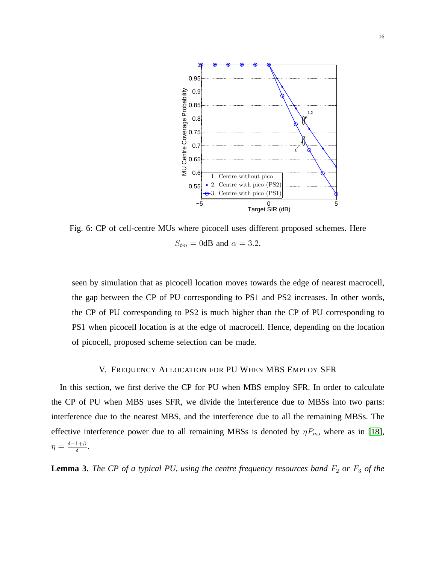<span id="page-15-0"></span>

Fig. 6: CP of cell-centre MUs where picocell uses different proposed schemes. Here  $S_{tm} = 0$ dB and  $\alpha = 3.2$ .

seen by simulation that as picocell location moves towards the edge of nearest macrocell, the gap between the CP of PU corresponding to PS1 and PS2 increases. In other words, the CP of PU corresponding to PS2 is much higher than the CP of PU corresponding to PS1 when picocell location is at the edge of macrocell. Hence, depending on the location of picocell, proposed scheme selection can be made.

## V. FREQUENCY ALLOCATION FOR PU WHEN MBS EMPLOY SFR

In this section, we first derive the CP for PU when MBS employ SFR. In order to calculate the CP of PU when MBS uses SFR, we divide the interference due to MBSs into two parts: interference due to the nearest MBS, and the interference due to all the remaining MBSs. The effective interference power due to all remaining MBSs is denoted by  $\eta P_m$ , where as in [\[18\]](#page-20-10),  $\eta = \frac{\delta - 1 + \beta}{\delta}$  $\frac{1+\beta}{\delta}$ .

**Lemma 3.** *The CP of a typical PU, using the centre frequency resources band*  $F_2$  *or*  $F_3$  *of the*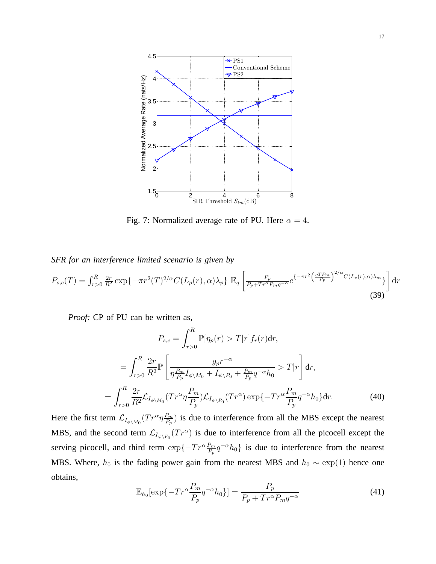<span id="page-16-0"></span>

Fig. 7: Normalized average rate of PU. Here  $\alpha = 4$ .

*SFR for an interference limited scenario is given by*

<span id="page-16-2"></span>
$$
P_{s,c}(T) = \int_{r>0}^{R} \frac{2r}{R^2} \exp\{-\pi r^2(T)^{2/\alpha} C(L_p(r), \alpha)\lambda_p\} \mathbb{E}_q \left[\frac{P_p}{P_p + Tr^{\alpha} P_m q^{-\alpha}} e^{\{-\pi r^2 \left(\frac{\eta T P_m}{P_p}\right)^{2/\alpha} C(L_c(r), \alpha)\lambda_m\}}\right] dr
$$
\n(39)

*Proof:* CP of PU can be written as,

$$
P_{s,c} = \int_{r>0}^{R} \mathbb{P}[\eta_p(r) > T | r] f_r(r) dr,
$$
  
\n
$$
= \int_{r>0}^{R} \frac{2r}{R^2} \mathbb{P} \left[ \frac{g_p r^{-\alpha}}{\eta \frac{P_m}{P_p} I_{\phi \setminus M_0} + I_{\psi \setminus P_0} + \frac{P_m}{P_p} q^{-\alpha} h_0} > T | r \right] dr,
$$
  
\n
$$
= \int_{r>0}^{R} \frac{2r}{R^2} \mathcal{L}_{I_{\phi \setminus M_0}} (Tr^{\alpha} \eta \frac{P_m}{P_p}) \mathcal{L}_{I_{\psi \setminus P_0}} (Tr^{\alpha}) \exp \{-Tr^{\alpha} \frac{P_m}{P_p} q^{-\alpha} h_0 \} dr.
$$
 (40)

<span id="page-16-1"></span>Here the first term  $\mathcal{L}_{I_{\phi\backslash M_0}}(Tr^{\alpha}\eta \frac{P_m}{P_p})$  $\frac{P_m}{P_p}$ ) is due to interference from all the MBS except the nearest MBS, and the second term  $\mathcal{L}_{I_{\psi\backslash P_0}}(Tr^{\alpha})$  is due to interference from all the picocell except the serving picocell, and third term  $\exp\{-Tr^{\alpha}\frac{P_m}{P_p}q^{-\alpha}h_0\}$  is due to interference from the nearest MBS. Where,  $h_0$  is the fading power gain from the nearest MBS and  $h_0 \sim \exp(1)$  hence one obtains,

$$
\mathbb{E}_{h_0}[\exp\{-Tr^{\alpha}\frac{P_m}{P_p}q^{-\alpha}h_0\}] = \frac{P_p}{P_p + Tr^{\alpha}P_mq^{-\alpha}}
$$
(41)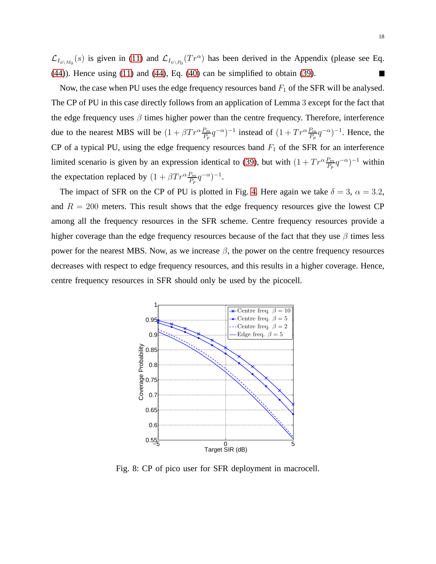$\mathcal{L}_{I_{\phi\setminus M_0}}(s)$  is given in [\(11\)](#page-7-1) and  $\mathcal{L}_{I_{\psi\setminus P_0}}(Tr^{\alpha})$  has been derived in the Appendix (please see Eq. [\(44\)](#page-19-3)). Hence using [\(11\)](#page-7-1) and [\(44\)](#page-19-3), Eq. [\(40\)](#page-16-1) can be simplified to obtain [\(39\)](#page-16-2).  $\Box$ 

Now, the case when PU uses the edge frequency resources band  $F_1$  of the SFR will be analysed. The CP of PU in this case directly follows from an application of Lemma 3 except for the fact that the edge frequency uses  $\beta$  times higher power than the centre frequency. Therefore, interference due to the nearest MBS will be  $(1 + \beta Tr^{\alpha} \frac{P_m}{P_p} q^{-\alpha})^{-1}$  instead of  $(1 + Tr^{\alpha} \frac{P_m}{P_p} q^{-\alpha})^{-1}$ . Hence, the CP of a typical PU, using the edge frequency resources band  $F_1$  of the SFR for an interference limited scenario is given by an expression identical to [\(39\)](#page-16-2), but with  $(1 + Tr^{\alpha} \frac{P_m}{P_p} q^{-\alpha})^{-1}$  within the expectation replaced by  $(1 + \beta Tr^{\alpha} \frac{P_m}{P_p} q^{-\alpha})^{-1}$ .

The impact of SFR on the CP of PU is plotted in Fig. [4.](#page-13-0) Here again we take  $\delta = 3$ ,  $\alpha = 3.2$ , and  $R = 200$  meters. This result shows that the edge frequency resources give the lowest CP among all the frequency resources in the SFR scheme. Centre frequency resources provide a higher coverage than the edge frequency resources because of the fact that they use  $\beta$  times less power for the nearest MBS. Now, as we increase  $\beta$ , the power on the centre frequency resources decreases with respect to edge frequency resources, and this results in a higher coverage. Hence, centre frequency resources in SFR should only be used by the picocell.

<span id="page-17-0"></span>

Fig. 8: CP of pico user for SFR deployment in macrocell.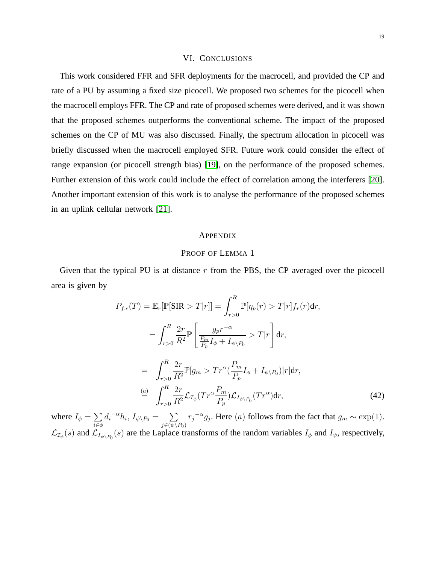### VI. CONCLUSIONS

This work considered FFR and SFR deployments for the macrocell, and provided the CP and rate of a PU by assuming a fixed size picocell. We proposed two schemes for the picocell when the macrocell employs FFR. The CP and rate of proposed schemes were derived, and it was shown that the proposed schemes outperforms the conventional scheme. The impact of the proposed schemes on the CP of MU was also discussed. Finally, the spectrum allocation in picocell was briefly discussed when the macrocell employed SFR. Future work could consider the effect of range expansion (or picocell strength bias) [\[19\]](#page-20-11), on the performance of the proposed schemes. Further extension of this work could include the effect of correlation among the interferers [\[20\]](#page-20-12). Another important extension of this work is to analyse the performance of the proposed schemes in an uplink cellular network [\[21\]](#page-20-13).

## **APPENDIX**

#### PROOF OF LEMMA 1

Given that the typical PU is at distance  $r$  from the PBS, the CP averaged over the picocell area is given by

<span id="page-18-0"></span>
$$
P_{f,c}(T) = \mathbb{E}_r[\mathbb{P}[\text{SIR} > T|r]] = \int_{r>0}^R \mathbb{P}[\eta_p(r) > T|r] f_r(r) \, dr,
$$
\n
$$
= \int_{r>0}^R \frac{2r}{R^2} \mathbb{P} \left[ \frac{g_p r^{-\alpha}}{\frac{P_m}{P_p} I_\phi + I_{\psi \setminus P_0}} > T|r \right] \, dr,
$$
\n
$$
= \int_{r>0}^R \frac{2r}{R^2} \mathbb{P}[g_m > Tr^\alpha(\frac{P_m}{P_p} I_\phi + I_{\psi \setminus P_0}) |r] \, dr,
$$
\n
$$
\stackrel{(a)}{=} \int_{r>0}^R \frac{2r}{R^2} \mathcal{L}_{\mathcal{I}_\phi}(Tr^\alpha \frac{P_m}{P_p}) \mathcal{L}_{I_{\psi \setminus P_0}}(Tr^\alpha) \, dr,\tag{42}
$$

where  $I_{\phi} = \sum$ i∈φ  $d_i^{-\alpha}h_i, I_{\psi\setminus P_0} = \sum$  $j\in(\psi\backslash P_0)$  $r_j^{-\alpha} g_j$ . Here (a) follows from the fact that  $g_m \sim \exp(1)$ .  $\mathcal{L}_{\mathcal{I}_{\phi}}(s)$  and  $\mathcal{L}_{I_{\psi\setminus P_0}}(s)$  are the Laplace transforms of the random variables  $I_{\phi}$  and  $I_{\psi}$ , respectively,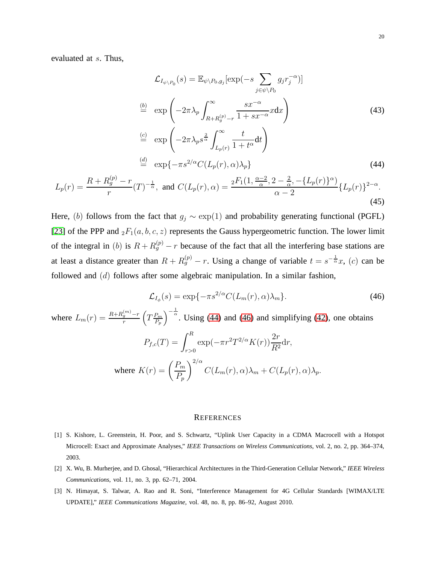evaluated at s. Thus,

<span id="page-19-3"></span>
$$
\mathcal{L}_{I_{\psi \setminus P_0}}(s) = \mathbb{E}_{\psi \setminus P_0, g_j}[\exp(-s \sum_{j \in \psi \setminus P_0} g_j r_j^{-\alpha})]
$$
\n
$$
\stackrel{\text{(b)}}{=} \exp\left(-2\pi \lambda_p \int_{R+R_g^{(p)} - r}^{\infty} \frac{sx^{-\alpha}}{1+sx^{-\alpha}} x \, dx\right)
$$
\n
$$
\stackrel{\text{(c)}}{=} \exp\left(-2\pi \lambda_p s^{\frac{2}{\alpha}} \int_{L_p(r)}^{\infty} \frac{t}{1+t^{\alpha}} dt\right)
$$
\n
$$
\stackrel{\text{(d)}}{=} \exp\{-\pi s^{2/\alpha} C(L_p(r), \alpha) \lambda_p\}
$$
\n
$$
R + R^{(p)} - r
$$
\n
$$
R + R^{(p)} - r
$$
\n(44)

$$
L_p(r) = \frac{R + R_g^{(p)} - r}{r} (T)^{-\frac{1}{\alpha}}, \text{ and } C(L_p(r), \alpha) = \frac{{}_2F_1(1, \frac{\alpha - 2}{\alpha}, 2 - \frac{2}{\alpha}, -\{L_p(r)\}^{\alpha})}{\alpha - 2} \{L_p(r)\}^{2 - \alpha}.
$$
\n(45)

Here, (b) follows from the fact that  $g_i \sim \exp(1)$  and probability generating functional (PGFL) [\[23\]](#page-21-1) of the PPP and  ${}_2F_1(a, b, c, z)$  represents the Gauss hypergeometric function. The lower limit of the integral in (b) is  $R + R_g^{(p)} - r$  because of the fact that all the interfering base stations are at least a distance greater than  $R + R_g^{(p)} - r$ . Using a change of variable  $t = s^{-\frac{1}{\alpha}}x$ , (c) can be followed and (d) follows after some algebraic manipulation. In a similar fashion,

<span id="page-19-4"></span>
$$
\mathcal{L}_{I_{\phi}}(s) = \exp\{-\pi s^{2/\alpha} C(L_m(r), \alpha)\lambda_m\}.
$$
\n(46)

where  $L_m(r) = \frac{R + R_g^{(m)} - r}{r}$  $\frac{q^{(m)}-r}{r}\left(T\frac{P_m}{P_p}\right)$  $P_p$  $\int_{0}^{\frac{1}{\alpha}}$ . Using [\(44\)](#page-19-3) and [\(46\)](#page-19-4) and simplifying [\(42\)](#page-18-0), one obtains  $P_{f,c}(T) = \int^R$  $r > 0$  $\exp(-\pi r^2T^{2/\alpha}K(r))\frac{2r}{R^2}$  $\frac{1}{R^2}$ dr, where  $K(r) = \left(\frac{P_m}{P}\right)^2$  $P_p$  $\setminus^{2/\alpha}$  $C(L_m(r), \alpha)\lambda_m + C(L_p(r), \alpha)\lambda_p.$ 

#### **REFERENCES**

- <span id="page-19-0"></span>[1] S. Kishore, L. Greenstein, H. Poor, and S. Schwartz, "Uplink User Capacity in a CDMA Macrocell with a Hotspot Microcell: Exact and Approximate Analyses," *IEEE Transactions on Wireless Communications*, vol. 2, no. 2, pp. 364–374, 2003.
- <span id="page-19-2"></span><span id="page-19-1"></span>[2] X. Wu, B. Murherjee, and D. Ghosal, "Hierarchical Architectures in the Third-Generation Cellular Network," *IEEE Wireless Communications*, vol. 11, no. 3, pp. 62–71, 2004.
- [3] N. Himayat, S. Talwar, A. Rao and R. Soni, "Interference Management for 4G Cellular Standards [WIMAX/LTE UPDATE]," *IEEE Communications Magazine*, vol. 48, no. 8, pp. 86–92, August 2010.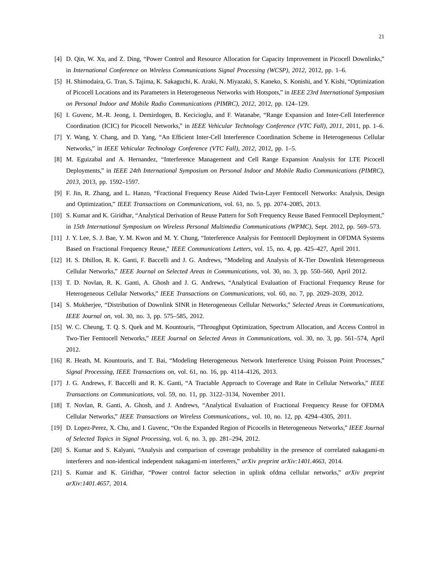- <span id="page-20-1"></span><span id="page-20-0"></span>[4] D. Qin, W. Xu, and Z. Ding, "Power Control and Resource Allocation for Capacity Improvement in Picocell Downlinks," in *International Conference on Wireless Communications Signal Processing (WCSP), 2012*, 2012, pp. 1–6.
- [5] H. Shimodaira, G. Tran, S. Tajima, K. Sakaguchi, K. Araki, N. Miyazaki, S. Kaneko, S. Konishi, and Y. Kishi, "Optimization of Picocell Locations and its Parameters in Heterogeneous Networks with Hotspots," in *IEEE 23rd International Symposium on Personal Indoor and Mobile Radio Communications (PIMRC), 2012*, 2012, pp. 124–129.
- <span id="page-20-3"></span><span id="page-20-2"></span>[6] I. Guvenc, M.-R. Jeong, I. Demirdogen, B. Kecicioglu, and F. Watanabe, "Range Expansion and Inter-Cell Interference Coordination (ICIC) for Picocell Networks," in *IEEE Vehicular Technology Conference (VTC Fall), 2011*, 2011, pp. 1–6.
- <span id="page-20-4"></span>[7] Y. Wang, Y. Chang, and D. Yang, "An Efficient Inter-Cell Interference Coordination Scheme in Heterogeneous Cellular Networks," in *IEEE Vehicular Technology Conference (VTC Fall), 2012*, 2012, pp. 1–5.
- [8] M. Eguizabal and A. Hernandez, "Interference Management and Cell Range Expansion Analysis for LTE Picocell Deployments," in *IEEE 24th International Symposium on Personal Indoor and Mobile Radio Communications (PIMRC), 2013*, 2013, pp. 1592–1597.
- <span id="page-20-5"></span>[9] F. Jin, R. Zhang, and L. Hanzo, "Fractional Frequency Reuse Aided Twin-Layer Femtocell Networks: Analysis, Design and Optimization," *IEEE Transactions on Communications*, vol. 61, no. 5, pp. 2074–2085, 2013.
- <span id="page-20-6"></span>[10] S. Kumar and K. Giridhar, "Analytical Derivation of Reuse Pattern for Soft Frequency Reuse Based Femtocell Deployment," in *15th International Symposium on Wireless Personal Multimedia Communications (WPMC)*, Sept. 2012, pp. 569–573.
- <span id="page-20-7"></span>[11] J. Y. Lee, S. J. Bae, Y. M. Kwon and M. Y. Chung, "Interference Analysis for Femtocell Deployment in OFDMA Systems Based on Fractional Frequency Reuse," *IEEE Communications Letters*, vol. 15, no. 4, pp. 425–427, April 2011.
- [12] H. S. Dhillon, R. K. Ganti, F. Baccelli and J. G. Andrews, "Modeling and Analysis of K-Tier Downlink Heterogeneous Cellular Networks," *IEEE Journal on Selected Areas in Communications*, vol. 30, no. 3, pp. 550–560, April 2012.
- [13] T. D. Novlan, R. K. Ganti, A. Ghosh and J. G. Andrews, "Analytical Evaluation of Fractional Frequency Reuse for Heterogeneous Cellular Networks," *IEEE Transactions on Communications*, vol. 60, no. 7, pp. 2029–2039, 2012.
- [14] S. Mukherjee, "Distribution of Downlink SINR in Heterogeneous Cellular Networks," *Selected Areas in Communications, IEEE Journal on*, vol. 30, no. 3, pp. 575–585, 2012.
- [15] W. C. Cheung, T. Q. S. Quek and M. Kountouris, "Throughput Optimization, Spectrum Allocation, and Access Control in Two-Tier Femtocell Networks," *IEEE Journal on Selected Areas in Communications*, vol. 30, no. 3, pp. 561–574, April 2012.
- <span id="page-20-9"></span><span id="page-20-8"></span>[16] R. Heath, M. Kountouris, and T. Bai, "Modeling Heterogeneous Network Interference Using Poisson Point Processes," *Signal Processing, IEEE Transactions on*, vol. 61, no. 16, pp. 4114–4126, 2013.
- <span id="page-20-10"></span>[17] J. G. Andrews, F. Baccelli and R. K. Ganti, "A Tractable Approach to Coverage and Rate in Cellular Networks," *IEEE Transactions on Communications*, vol. 59, no. 11, pp. 3122–3134, November 2011.
- <span id="page-20-11"></span>[18] T. Novlan, R. Ganti, A. Ghosh, and J. Andrews, "Analytical Evaluation of Fractional Frequency Reuse for OFDMA Cellular Networks," *IEEE Transactions on Wireless Communications,*, vol. 10, no. 12, pp. 4294–4305, 2011.
- <span id="page-20-12"></span>[19] D. Lopez-Perez, X. Chu, and I. Guvenc, "On the Expanded Region of Picocells in Heterogeneous Networks," *IEEE Journal of Selected Topics in Signal Processing*, vol. 6, no. 3, pp. 281–294, 2012.
- <span id="page-20-13"></span>[20] S. Kumar and S. Kalyani, "Analysis and comparison of coverage probability in the presence of correlated nakagami-m interferers and non-identical independent nakagami-m interferers," *arXiv preprint arXiv:1401.4663*, 2014.
- [21] S. Kumar and K. Giridhar, "Power control factor selection in uplink ofdma cellular networks," *arXiv preprint arXiv:1401.4657*, 2014.